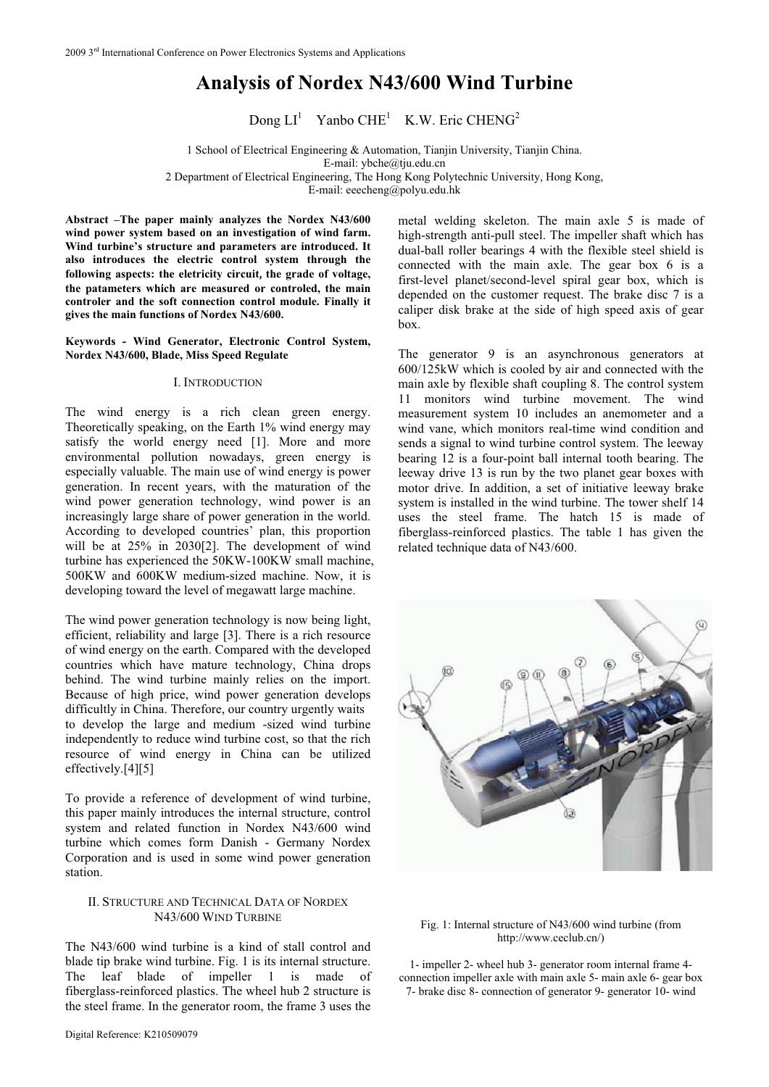# **Analysis of Nordex N43/600 Wind Turbine**

Dong  $LI^1$  Yanbo CHE<sup>1</sup> K.W. Eric CHENG<sup>2</sup>

1 School of Electrical Engineering & Automation, Tianjin University, Tianjin China. E-mail: ybche@tju.edu.cn 2 Department of Electrical Engineering, The Hong Kong Polytechnic University, Hong Kong,

E-mail: eeecheng@polyu.edu.hk

**Abstract –The paper mainly analyzes the Nordex N43/600 wind power system based on an investigation of wind farm. Wind turbine's structure and parameters are introduced. It also introduces the electric control system through the following aspects: the eletricity circuitthe grade of voltage, the patameters which are measured or controled, the main controler and the soft connection control module. Finally it gives the main functions of Nordex N43/600.** 

**Keywords - Wind Generator, Electronic Control System, Nordex N43/600, Blade, Miss Speed Regulate** 

#### I. INTRODUCTION

The wind energy is a rich clean green energy. Theoretically speaking, on the Earth 1% wind energy may satisfy the world energy need [1]. More and more environmental pollution nowadays, green energy is especially valuable. The main use of wind energy is power generation. In recent years, with the maturation of the wind power generation technology, wind power is an increasingly large share of power generation in the world. According to developed countries' plan, this proportion will be at 25% in 2030[2]. The development of wind turbine has experienced the 50KW-100KW small machine, 500KW and 600KW medium-sized machine. Now, it is developing toward the level of megawatt large machine.

The wind power generation technology is now being light, efficient, reliability and large [3]. There is a rich resource of wind energy on the earth. Compared with the developed countries which have mature technology, China drops behind. The wind turbine mainly relies on the import. Because of high price, wind power generation develops difficultly in China. Therefore, our country urgently waits to develop the large and medium -sized wind turbine independently to reduce wind turbine cost, so that the rich resource of wind energy in China can be utilized effectively.[4][5]

To provide a reference of development of wind turbine, this paper mainly introduces the internal structure, control system and related function in Nordex N43/600 wind turbine which comes form Danish - Germany Nordex Corporation and is used in some wind power generation station.

## II. STRUCTURE AND TECHNICAL DATA OF NORDEX N43/600 WIND TURBINE

The N43/600 wind turbine is a kind of stall control and blade tip brake wind turbine. Fig. 1 is its internal structure. The leaf blade of impeller 1 is made of fiberglass-reinforced plastics. The wheel hub 2 structure is the steel frame. In the generator room, the frame 3 uses the

metal welding skeleton. The main axle 5 is made of high-strength anti-pull steel. The impeller shaft which has dual-ball roller bearings 4 with the flexible steel shield is connected with the main axle. The gear box 6 is a first-level planet/second-level spiral gear box, which is depended on the customer request. The brake disc 7 is a caliper disk brake at the side of high speed axis of gear box.

The generator 9 is an asynchronous generators at 600/125kW which is cooled by air and connected with the main axle by flexible shaft coupling 8. The control system 11 monitors wind turbine movement. The wind measurement system 10 includes an anemometer and a wind vane, which monitors real-time wind condition and sends a signal to wind turbine control system. The leeway bearing 12 is a four-point ball internal tooth bearing. The leeway drive 13 is run by the two planet gear boxes with motor drive. In addition, a set of initiative leeway brake system is installed in the wind turbine. The tower shelf 14 [uses the steel fra](http://www.ceclub.cn/)me. The hatch 15 is made of fiberglass-reinforced plastics. The table 1 has given the related technique data of N43/600.



Fig. 1: Internal structure of N43/600 wind turbine (from http://www.ceclub.cn/)

1- impeller 2- wheel hub 3- generator room internal frame 4 connection impeller axle with main axle 5- main axle 6- gear box 7- brake disc 8- connection of generator 9- generator 10- wind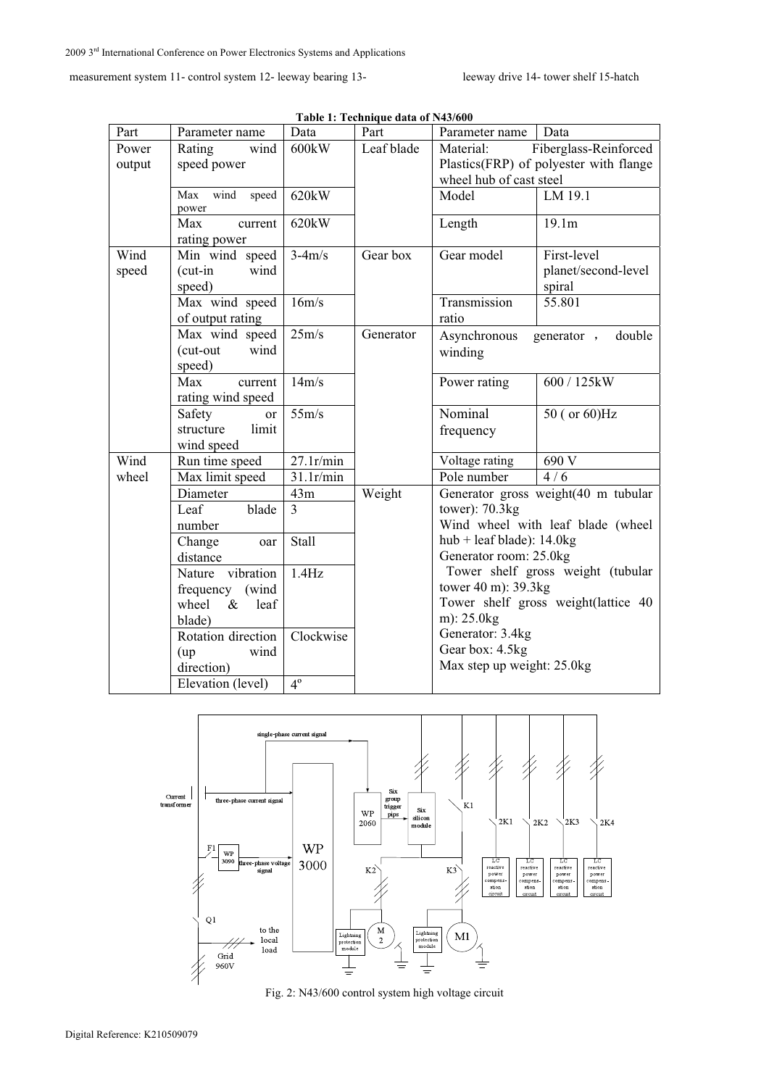measurement system 11- control system 12- leeway bearing 13- leeway drive 14- tower shelf 15-hatch

| Part   | Parameter name                | Data           | Part       | Parameter name                         | Data                                |
|--------|-------------------------------|----------------|------------|----------------------------------------|-------------------------------------|
| Power  | wind<br>Rating                | 600kW          | Leaf blade | Material:<br>Fiberglass-Reinforced     |                                     |
| output | speed power                   |                |            | Plastics(FRP) of polyester with flange |                                     |
|        |                               |                |            | wheel hub of cast steel                |                                     |
|        | Max<br>wind<br>speed<br>power | 620kW          |            | Model                                  | LM 19.1                             |
|        | Max<br>current                | 620kW          |            | Length                                 | 19.1m                               |
|        | rating power                  |                |            |                                        |                                     |
| Wind   | Min wind speed                | $3-4m/s$       | Gear box   | Gear model                             | First-level                         |
| speed  | $(cut-in$<br>wind             |                |            |                                        | planet/second-level                 |
|        | speed)                        |                |            |                                        | spiral                              |
|        | Max wind speed                | 16m/s          |            | Transmission                           | 55.801                              |
|        | of output rating              |                |            | ratio                                  |                                     |
|        | Max wind speed                | 25m/s          | Generator  | Asynchronous                           | double<br>generator,                |
|        | (cut-out<br>wind              |                |            | winding                                |                                     |
|        | speed)                        |                |            |                                        |                                     |
|        | Max<br>current                | 14m/s          |            | Power rating                           | 600 / 125kW                         |
|        | rating wind speed             |                |            |                                        |                                     |
|        | Safety<br><b>or</b>           | 55m/s          |            | Nominal                                | 50 (or 60)Hz                        |
|        | structure<br>limit            |                |            | frequency                              |                                     |
|        | wind speed                    |                |            |                                        |                                     |
| Wind   | Run time speed                | 27.1r/min      |            | Voltage rating                         | 690 V                               |
| wheel  | Max limit speed               | 31.1r/min      |            | Pole number                            | 4/6                                 |
|        | Diameter                      | 43m            | Weight     | Generator gross weight(40 m tubular    |                                     |
|        | Leaf<br>blade                 | $\overline{3}$ |            | tower): $70.3kg$                       |                                     |
|        | number                        |                |            |                                        | Wind wheel with leaf blade (wheel   |
|        | Change<br>oar                 | <b>Stall</b>   |            | hub + leaf blade): $14.0$ kg           |                                     |
|        | distance                      |                |            | Generator room: 25.0kg                 |                                     |
|        | vibration<br>Nature           | 1.4Hz          |            |                                        | Tower shelf gross weight (tubular   |
|        | frequency (wind               |                |            | tower 40 m): 39.3kg                    |                                     |
|        | wheel<br>leaf<br>$\&$         |                |            |                                        | Tower shelf gross weight(lattice 40 |
|        | blade)                        |                |            | m): 25.0kg                             |                                     |
|        | Rotation direction            | Clockwise      |            | Generator: 3.4kg                       |                                     |
|        | wind<br>(up)                  |                |            | Gear box: 4.5kg                        |                                     |
|        | direction)                    |                |            | Max step up weight: 25.0kg             |                                     |
|        | Elevation (level)             | $4^\circ$      |            |                                        |                                     |

**Table 1: Technique data of N43/600** 



Fig. 2: N43/600 control system high voltage circuit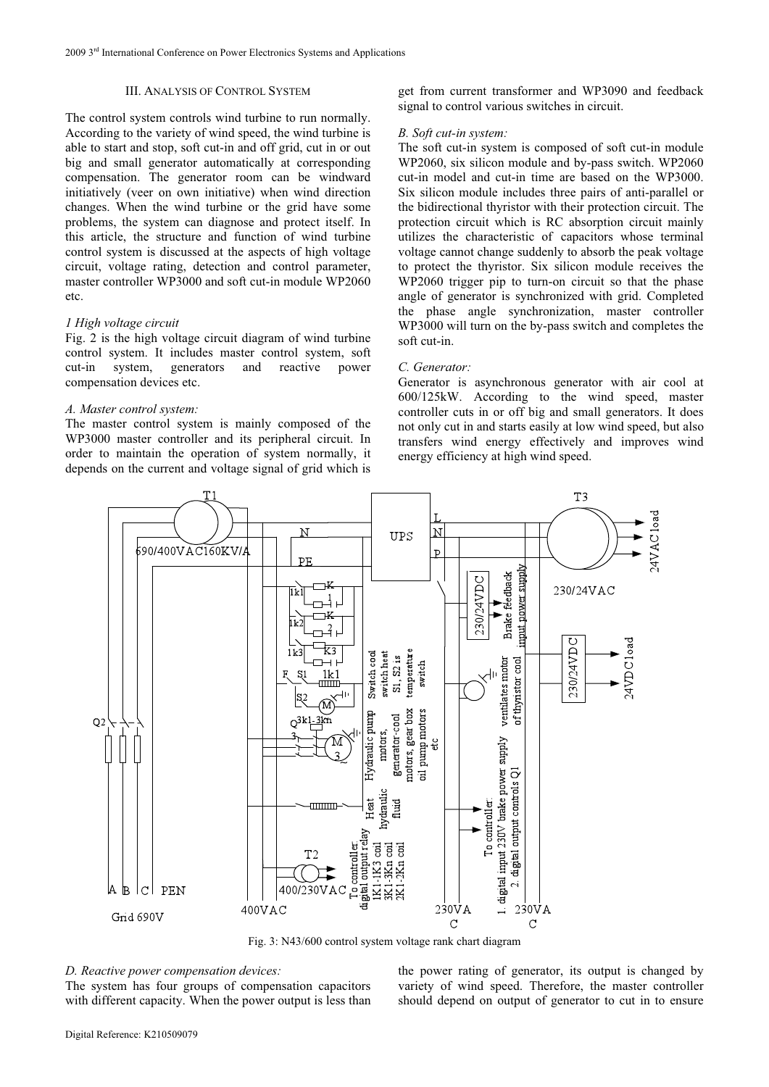## III. ANALYSIS OF CONTROL SYSTEM

The control system controls wind turbine to run normally. According to the variety of wind speed, the wind turbine is able to start and stop, soft cut-in and off grid, cut in or out big and small generator automatically at corresponding compensation. The generator room can be windward initiatively (veer on own initiative) when wind direction changes. When the wind turbine or the grid have some problems, the system can diagnose and protect itself. In this article, the structure and function of wind turbine control system is discussed at the aspects of high voltage circuit, voltage rating, detection and control parameter, master controller WP3000 and soft cut-in module WP2060 etc.

#### *1 High voltage circuit*

Fig. 2 is the high voltage circuit diagram of wind turbine control system. It includes master control system, soft cut-in system, generators and reactive power compensation devices etc.

## *A. Master control system:*

The master control system is mainly composed of the WP3000 master controller and its peripheral circuit. In order to maintain the operation of system normally, it depends on the current and voltage signal of grid which is

get from current transformer and WP3090 and feedback signal to control various switches in circuit.

#### *B. Soft cut-in system:*

The soft cut-in system is composed of soft cut-in module WP2060, six silicon module and by-pass switch. WP2060 cut-in model and cut-in time are based on the WP3000. Six silicon module includes three pairs of anti-parallel or the bidirectional thyristor with their protection circuit. The protection circuit which is RC absorption circuit mainly utilizes the characteristic of capacitors whose terminal voltage cannot change suddenly to absorb the peak voltage to protect the thyristor. Six silicon module receives the WP2060 trigger pip to turn-on circuit so that the phase angle of generator is synchronized with grid. Completed the phase angle synchronization, master controller WP3000 will turn on the by-pass switch and completes the soft cut-in.

## *C. Generator:*

Generator is asynchronous generator with air cool at 600/125kW. According to the wind speed, master controller cuts in or off big and small generators. It does not only cut in and starts easily at low wind speed, but also transfers wind energy effectively and improves wind energy efficiency at high wind speed.



Fig. 3: N43/600 control system voltage rank chart diagram

# *D. Reactive power compensation devices:*

The system has four groups of compensation capacitors with different capacity. When the power output is less than the power rating of generator, its output is changed by variety of wind speed. Therefore, the master controller should depend on output of generator to cut in to ensure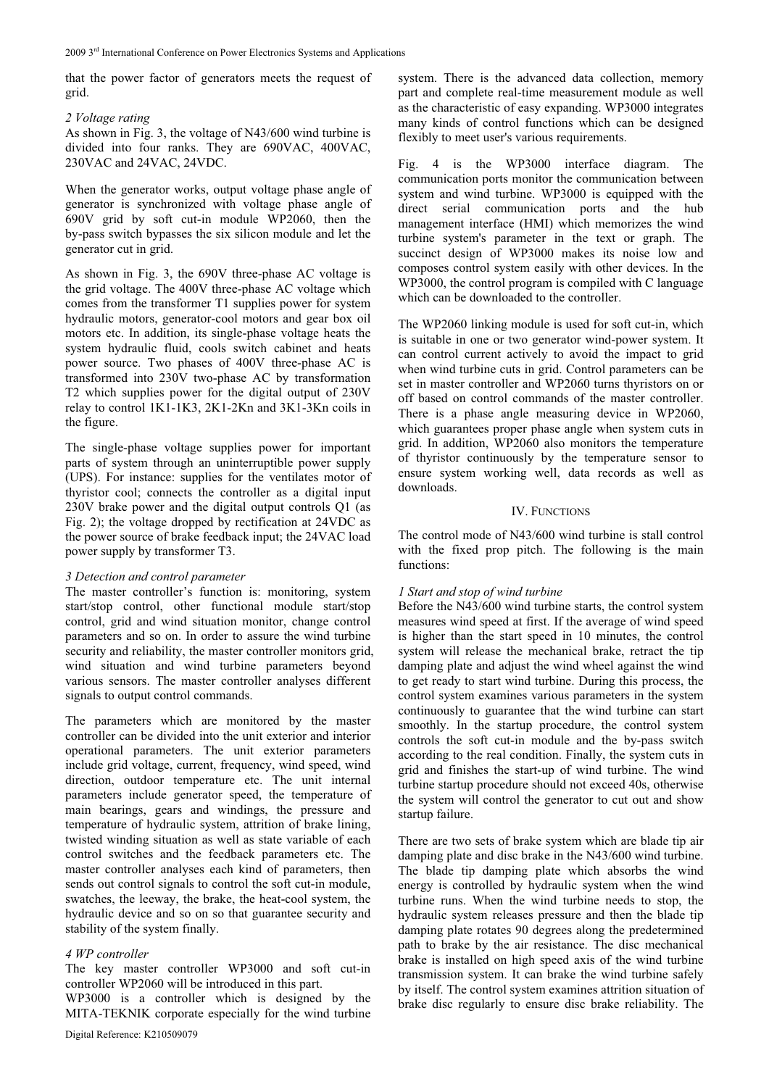that the power factor of generators meets the request of grid.

## *2 Voltage rating*

As shown in Fig. 3, the voltage of N43/600 wind turbine is divided into four ranks. They are 690VAC, 400VAC, 230VAC and 24VAC, 24VDC.

When the generator works, output voltage phase angle of generator is synchronized with voltage phase angle of 690V grid by soft cut-in module WP2060, then the by-pass switch bypasses the six silicon module and let the generator cut in grid.

As shown in Fig. 3, the 690V three-phase AC voltage is the grid voltage. The 400V three-phase AC voltage which comes from the transformer T1 supplies power for system hydraulic motors, generator-cool motors and gear box oil motors etc. In addition, its single-phase voltage heats the system hydraulic fluid, cools switch cabinet and heats power source. Two phases of 400V three-phase AC is transformed into 230V two-phase AC by transformation T2 which supplies power for the digital output of 230V relay to control 1K1-1K3, 2K1-2Kn and 3K1-3Kn coils in the figure.

The single-phase voltage supplies power for important parts of system through an uninterruptible power supply (UPS). For instance: supplies for the ventilates motor of thyristor cool; connects the controller as a digital input 230V brake power and the digital output controls Q1 (as Fig. 2); the voltage dropped by rectification at 24VDC as the power source of brake feedback input; the 24VAC load power supply by transformer T3.

## *3 Detection and control parameter*

The master controller's function is: monitoring, system start/stop control, other functional module start/stop control, grid and wind situation monitor, change control parameters and so on. In order to assure the wind turbine security and reliability, the master controller monitors grid, wind situation and wind turbine parameters beyond various sensors. The master controller analyses different signals to output control commands.

The parameters which are monitored by the master controller can be divided into the unit exterior and interior operational parameters. The unit exterior parameters include grid voltage, current, frequency, wind speed, wind direction, outdoor temperature etc. The unit internal parameters include generator speed, the temperature of main bearings, gears and windings, the pressure and temperature of hydraulic system, attrition of brake lining, twisted winding situation as well as state variable of each control switches and the feedback parameters etc. The master controller analyses each kind of parameters, then sends out control signals to control the soft cut-in module, swatches, the leeway, the brake, the heat-cool system, the hydraulic device and so on so that guarantee security and stability of the system finally.

## *4 WP controller*

The key master controller WP3000 and soft cut-in controller WP2060 will be introduced in this part.

WP3000 is a controller which is designed by the MITA-TEKNIK corporate especially for the wind turbine system. There is the advanced data collection, memory part and complete real-time measurement module as well as the characteristic of easy expanding. WP3000 integrates many kinds of control functions which can be designed flexibly to meet user's various requirements.

Fig. 4 is the WP3000 interface diagram. The communication ports monitor the communication between system and wind turbine. WP3000 is equipped with the direct serial communication ports and the hub management interface (HMI) which memorizes the wind turbine system's parameter in the text or graph. The succinct design of WP3000 makes its noise low and composes control system easily with other devices. In the WP3000, the control program is compiled with C language which can be downloaded to the controller.

The WP2060 linking module is used for soft cut-in, which is suitable in one or two generator wind-power system. It can control current actively to avoid the impact to grid when wind turbine cuts in grid. Control parameters can be set in master controller and WP2060 turns thyristors on or off based on control commands of the master controller. There is a phase angle measuring device in WP2060, which guarantees proper phase angle when system cuts in grid. In addition, WP2060 also monitors the temperature of thyristor continuously by the temperature sensor to ensure system working well, data records as well as downloads.

## IV. FUNCTIONS

The control mode of N43/600 wind turbine is stall control with the fixed prop pitch. The following is the main functions:

## *1 Start and stop of wind turbine*

Before the N43/600 wind turbine starts, the control system measures wind speed at first. If the average of wind speed is higher than the start speed in 10 minutes, the control system will release the mechanical brake, retract the tip damping plate and adjust the wind wheel against the wind to get ready to start wind turbine. During this process, the control system examines various parameters in the system continuously to guarantee that the wind turbine can start smoothly. In the startup procedure, the control system controls the soft cut-in module and the by-pass switch according to the real condition. Finally, the system cuts in grid and finishes the start-up of wind turbine. The wind turbine startup procedure should not exceed 40s, otherwise the system will control the generator to cut out and show startup failure.

There are two sets of brake system which are blade tip air damping plate and disc brake in the N43/600 wind turbine. The blade tip damping plate which absorbs the wind energy is controlled by hydraulic system when the wind turbine runs. When the wind turbine needs to stop, the hydraulic system releases pressure and then the blade tip damping plate rotates 90 degrees along the predetermined path to brake by the air resistance. The disc mechanical brake is installed on high speed axis of the wind turbine transmission system. It can brake the wind turbine safely by itself. The control system examines attrition situation of brake disc regularly to ensure disc brake reliability. The